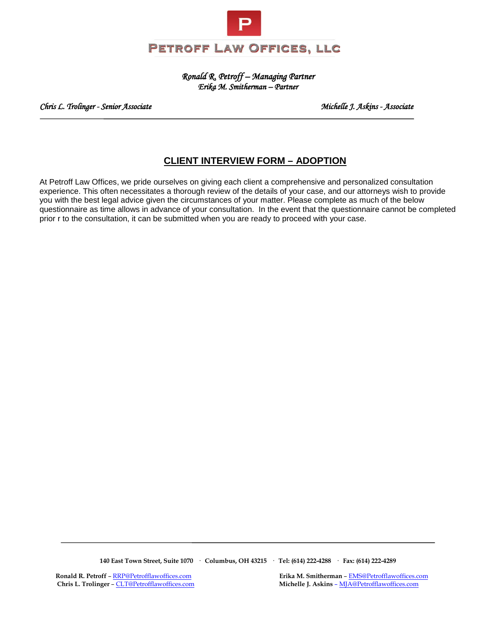

*Ronald R. Petroff – Managing Partner Erika M. Smitherman – Partner* 

*Chris L. Trolinger - Senior Associate Michelle J. Askins - Associate* 

# **CLIENT INTERVIEW FORM – ADOPTION**

At Petroff Law Offices, we pride ourselves on giving each client a comprehensive and personalized consultation experience. This often necessitates a thorough review of the details of your case, and our attorneys wish to provide you with the best legal advice given the circumstances of your matter. Please complete as much of the below questionnaire as time allows in advance of your consultation. In the event that the questionnaire cannot be completed prior r to the consultation, it can be submitted when you are ready to proceed with your case.

**140 East Town Street, Suite 1070 · Columbus, OH 43215 · Tel: (614) 222-4288 · Fax: (614) 222-4289**

 **Chris L. Trolinger** [– CLT@Petrofflawoffices.com](mailto:CLT@Petrofflawoffices.com) **Michelle J. Askins** [– MJA@Petrofflawoffices.com](mailto:%E2%80%93%20MJA@Petrofflawoffices.com)

**Ronald R. Petroff** [– RRP@Petrofflawoffices.com](mailto:RRP@Petrofflawoffices.com) **Erika M. Smitherman** – <u>EMS@Petrofflawoffices.com</u> **Exits L. Trolinger** – CLT@Petrofflawoffices.com **Michelle J. Askins** – <u>MJA@Petrofflawoffices.com</u>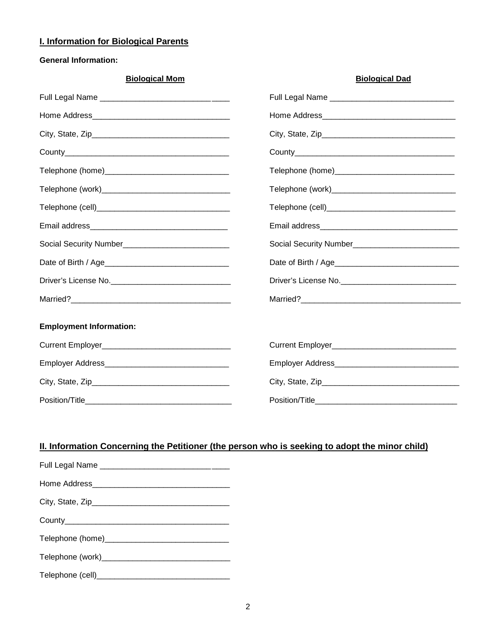## **I. Information for Biological Parents**

## **General Information:**

| <b>Biological Mom</b>          | <b>Biological Dad</b>                                  |
|--------------------------------|--------------------------------------------------------|
|                                |                                                        |
|                                |                                                        |
|                                |                                                        |
|                                |                                                        |
|                                |                                                        |
|                                |                                                        |
|                                |                                                        |
|                                |                                                        |
|                                | Social Security Number________________________________ |
|                                |                                                        |
|                                |                                                        |
|                                |                                                        |
| <b>Employment Information:</b> |                                                        |
|                                |                                                        |
|                                |                                                        |
|                                |                                                        |
|                                |                                                        |

# **II. Information Concerning the Petitioner (the person who is seeking to adopt the minor child)**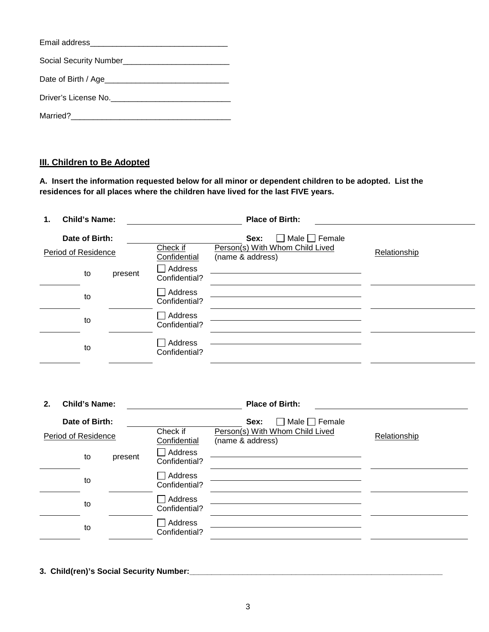| Date of Birth / Age  |
|----------------------|
| Driver's License No. |
| Married?             |

# **III. Children to Be Adopted**

**A. Insert the information requested below for all minor or dependent children to be adopted. List the residences for all places where the children have lived for the last FIVE years.** 

| <b>Child's Name:</b><br>1.            |         |                          | <b>Place of Birth:</b>                                                                      |              |
|---------------------------------------|---------|--------------------------|---------------------------------------------------------------------------------------------|--------------|
| Date of Birth:<br>Period of Residence |         | Check if<br>Confidential | Male $\Box$ Female<br>Sex:<br>$\Box$<br>Person(s) With Whom Child Lived<br>(name & address) | Relationship |
| to                                    | present | Address<br>Confidential? |                                                                                             |              |
| to                                    |         | Address<br>Confidential? |                                                                                             |              |
| to                                    |         | Address<br>Confidential? |                                                                                             |              |
| to                                    |         | Address<br>Confidential? |                                                                                             |              |

| 2.                                    | <b>Child's Name:</b> |                          |                                                                                   |              |  |
|---------------------------------------|----------------------|--------------------------|-----------------------------------------------------------------------------------|--------------|--|
| Date of Birth:<br>Period of Residence |                      | Check if<br>Confidential | Male $\Box$ Female<br>Sex:<br>Person(s) With Whom Child Lived<br>(name & address) | Relationship |  |
|                                       | to                   | present                  | Address<br>Confidential?                                                          |              |  |
|                                       | to                   |                          | <b>Address</b><br>Confidential?                                                   |              |  |
|                                       | to                   |                          | Address<br>Confidential?                                                          |              |  |
|                                       | to                   |                          | Address<br>Confidential?                                                          |              |  |

**3. Child(ren)'s Social Security Number:\_\_\_\_\_\_\_\_\_\_\_\_\_\_\_\_\_\_\_\_\_\_\_\_\_\_\_\_\_\_\_\_\_\_\_\_\_\_\_\_\_\_\_\_\_\_\_\_\_\_\_\_\_\_\_\_\_**